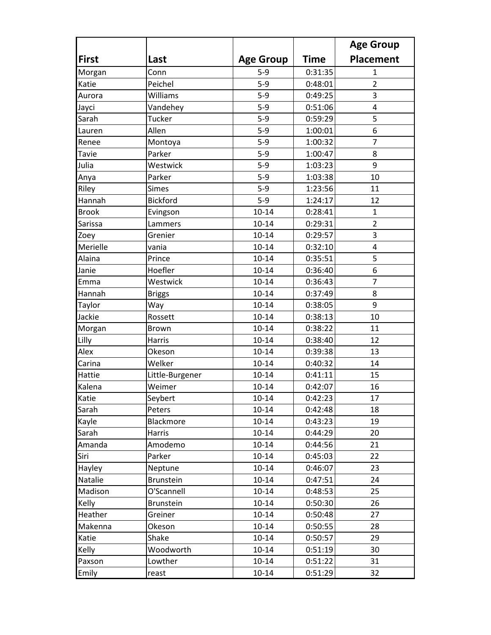|              |                 |                  |             | <b>Age Group</b> |
|--------------|-----------------|------------------|-------------|------------------|
| <b>First</b> | Last            | <b>Age Group</b> | <b>Time</b> | <b>Placement</b> |
| Morgan       | Conn            | $5 - 9$          | 0:31:35     | 1                |
| Katie        | Peichel         | $5 - 9$          | 0:48:01     | $\overline{2}$   |
| Aurora       | Williams        | $5-9$            | 0:49:25     | 3                |
| Jayci        | Vandehey        | $5-9$            | 0:51:06     | $\overline{4}$   |
| Sarah        | Tucker          | $5-9$            | 0:59:29     | 5                |
| Lauren       | Allen           | $5-9$            | 1:00:01     | 6                |
| Renee        | Montoya         | $5-9$            | 1:00:32     | 7                |
| <b>Tavie</b> | Parker          | $5-9$            | 1:00:47     | 8                |
| Julia        | Westwick        | $5-9$            | 1:03:23     | 9                |
| Anya         | Parker          | $5 - 9$          | 1:03:38     | 10               |
| Riley        | <b>Simes</b>    | $5-9$            | 1:23:56     | 11               |
| Hannah       | <b>Bickford</b> | $5 - 9$          | 1:24:17     | 12               |
| <b>Brook</b> | Evingson        | $10 - 14$        | 0:28:41     | $\mathbf{1}$     |
| Sarissa      | Lammers         | $10 - 14$        | 0:29:31     | $\overline{2}$   |
| Zoey         | Grenier         | $10 - 14$        | 0:29:57     | 3                |
| Merielle     | vania           | $10 - 14$        | 0:32:10     | $\overline{4}$   |
| Alaina       | Prince          | $10 - 14$        | 0:35:51     | 5                |
| Janie        | Hoefler         | $10 - 14$        | 0:36:40     | 6                |
| Emma         | Westwick        | $10 - 14$        | 0:36:43     | $\overline{7}$   |
| Hannah       | <b>Briggs</b>   | $10 - 14$        | 0:37:49     | 8                |
| Taylor       | Way             | $10 - 14$        | 0:38:05     | 9                |
| Jackie       | Rossett         | $10 - 14$        | 0:38:13     | 10               |
| Morgan       | <b>Brown</b>    | $10 - 14$        | 0:38:22     | 11               |
| Lilly        | Harris          | $10 - 14$        | 0:38:40     | 12               |
| Alex         | Okeson          | $10 - 14$        | 0:39:38     | 13               |
| Carina       | Welker          | $10 - 14$        | 0:40:32     | 14               |
| Hattie       | Little-Burgener | $10 - 14$        | 0:41:11     | 15               |
| Kalena       | Weimer          | $10 - 14$        | 0:42:07     | 16               |
| Katie        | Seybert         | 10-14            | 0:42:23     | 17               |
| Sarah        | Peters          | $10 - 14$        | 0:42:48     | 18               |
| Kayle        | Blackmore       | $10 - 14$        | 0:43:23     | 19               |
| Sarah        | Harris          | $10 - 14$        | 0:44:29     | 20               |
| Amanda       | Amodemo         | $10 - 14$        | 0:44:56     | 21               |
| Siri         | Parker          | $10 - 14$        | 0:45:03     | 22               |
| Hayley       | Neptune         | $10 - 14$        | 0:46:07     | 23               |
| Natalie      | Brunstein       | $10 - 14$        | 0:47:51     | 24               |
| Madison      | O'Scannell      | $10 - 14$        | 0:48:53     | 25               |
| Kelly        | Brunstein       | $10 - 14$        | 0:50:30     | 26               |
| Heather      | Greiner         | $10 - 14$        | 0:50:48     | 27               |
| Makenna      | Okeson          | $10 - 14$        | 0:50:55     | 28               |
| Katie        | Shake           | $10 - 14$        | 0:50:57     | 29               |
| Kelly        | Woodworth       | $10 - 14$        | 0:51:19     | 30               |
| Paxson       | Lowther         | $10 - 14$        | 0:51:22     | 31               |
| Emily        | reast           | $10 - 14$        | 0:51:29     | 32               |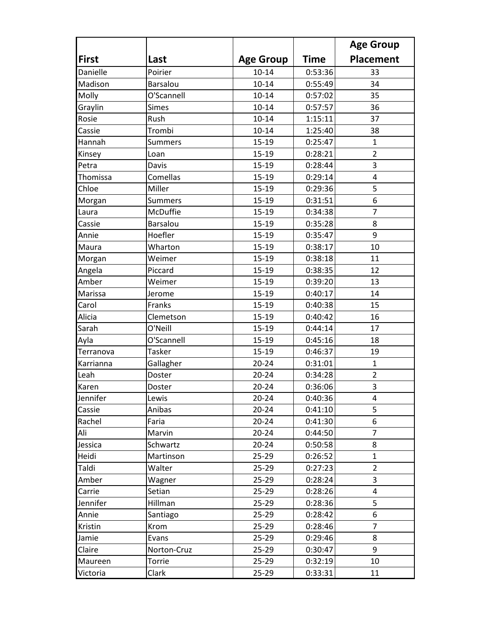|              |                 |                  |             | <b>Age Group</b> |
|--------------|-----------------|------------------|-------------|------------------|
| <b>First</b> | Last            | <b>Age Group</b> | <b>Time</b> | <b>Placement</b> |
| Danielle     | Poirier         | $10 - 14$        | 0:53:36     | 33               |
| Madison      | <b>Barsalou</b> | $10 - 14$        | 0:55:49     | 34               |
| Molly        | O'Scannell      | $10 - 14$        | 0:57:02     | 35               |
| Graylin      | <b>Simes</b>    | $10 - 14$        | 0:57:57     | 36               |
| Rosie        | Rush            | $10 - 14$        | 1:15:11     | 37               |
| Cassie       | Trombi          | $10 - 14$        | 1:25:40     | 38               |
| Hannah       | <b>Summers</b>  | 15-19            | 0:25:47     | $\mathbf{1}$     |
| Kinsey       | Loan            | 15-19            | 0:28:21     | $\overline{2}$   |
| Petra        | Davis           | 15-19            | 0:28:44     | 3                |
| Thomissa     | Comellas        | 15-19            | 0:29:14     | 4                |
| Chloe        | Miller          | $15-19$          | 0:29:36     | 5                |
| Morgan       | <b>Summers</b>  | $15 - 19$        | 0:31:51     | 6                |
| Laura        | McDuffie        | $15 - 19$        | 0:34:38     | $\overline{7}$   |
| Cassie       | Barsalou        | $15 - 19$        | 0:35:28     | 8                |
| Annie        | Hoefler         | $15 - 19$        | 0:35:47     | 9                |
| Maura        | Wharton         | $15 - 19$        | 0:38:17     | 10               |
| Morgan       | Weimer          | 15-19            | 0:38:18     | 11               |
| Angela       | Piccard         | $15 - 19$        | 0:38:35     | 12               |
| Amber        | Weimer          | 15-19            | 0:39:20     | 13               |
| Marissa      | Jerome          | $15 - 19$        | 0:40:17     | 14               |
| Carol        | Franks          | 15-19            | 0:40:38     | 15               |
| Alicia       | Clemetson       | 15-19            | 0:40:42     | 16               |
| Sarah        | O'Neill         | 15-19            | 0:44:14     | 17               |
| Ayla         | O'Scannell      | $15 - 19$        | 0:45:16     | 18               |
| Terranova    | <b>Tasker</b>   | 15-19            | 0:46:37     | 19               |
| Karrianna    | Gallagher       | $20 - 24$        | 0:31:01     | $\mathbf{1}$     |
| Leah         | Doster          | $20 - 24$        | 0:34:28     | $\overline{2}$   |
| Karen        | Doster          | $20 - 24$        | 0:36:06     | 3                |
| Jennifer     | Lewis           | 20-24            | 0:40:36     | 4                |
| Cassie       | Anibas          | $20 - 24$        | 0:41:10     | 5                |
| Rachel       | Faria           | $20 - 24$        | 0:41:30     | 6                |
| Ali          | Marvin          | $20 - 24$        | 0:44:50     | $\overline{7}$   |
| Jessica      | Schwartz        | $20 - 24$        | 0:50:58     | 8                |
| Heidi        | Martinson       | $25 - 29$        | 0:26:52     | $\mathbf{1}$     |
| Taldi        | Walter          | $25 - 29$        | 0:27:23     | $\overline{2}$   |
| Amber        | Wagner          | $25 - 29$        | 0:28:24     | 3                |
| Carrie       | Setian          | $25 - 29$        | 0:28:26     | 4                |
| Jennifer     | Hillman         | $25 - 29$        | 0:28:36     | 5                |
| Annie        | Santiago        | $25 - 29$        | 0:28:42     | 6                |
| Kristin      | Krom            | $25 - 29$        | 0:28:46     | 7                |
| Jamie        | Evans           | $25 - 29$        | 0:29:46     | 8                |
| Claire       | Norton-Cruz     | $25 - 29$        | 0:30:47     | 9                |
| Maureen      | Torrie          | $25 - 29$        | 0:32:19     | 10               |
| Victoria     | Clark           | $25 - 29$        | 0:33:31     | 11               |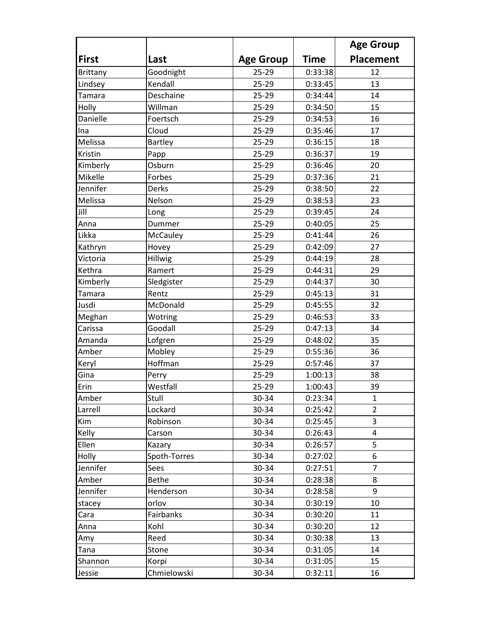|              |              |                  |             | <b>Age Group</b> |
|--------------|--------------|------------------|-------------|------------------|
| <b>First</b> | Last         | <b>Age Group</b> | <b>Time</b> | <b>Placement</b> |
| Brittany     | Goodnight    | 25-29            | 0:33:38     | 12               |
| Lindsey      | Kendall      | 25-29            | 0:33:45     | 13               |
| Tamara       | Deschaine    | 25-29            | 0:34:44     | 14               |
| Holly        | Willman      | 25-29            | 0:34:50     | 15               |
| Danielle     | Foertsch     | $25 - 29$        | 0:34:53     | 16               |
| <b>Ina</b>   | Cloud        | 25-29            | 0:35:46     | 17               |
| Melissa      | Bartley      | 25-29            | 0:36:15     | 18               |
| Kristin      | Papp         | 25-29            | 0:36:37     | 19               |
| Kimberly     | Osburn       | 25-29            | 0:36:46     | 20               |
| Mikelle      | Forbes       | 25-29            | 0:37:36     | 21               |
| Jennifer     | Derks        | $25 - 29$        | 0:38:50     | 22               |
| Melissa      | Nelson       | 25-29            | 0:38:53     | 23               |
| Jill         | Long         | 25-29            | 0:39:45     | 24               |
| Anna         | Dummer       | 25-29            | 0:40:05     | 25               |
| Likka        | McCauley     | 25-29            | 0:41:44     | 26               |
| Kathryn      | Hovey        | 25-29            | 0:42:09     | 27               |
| Victoria     | Hillwig      | $25 - 29$        | 0:44:19     | 28               |
| Kethra       | Ramert       | 25-29            | 0:44:31     | 29               |
| Kimberly     | Sledgister   | 25-29            | 0:44:37     | 30               |
| Tamara       | Rentz        | 25-29            | 0:45:13     | 31               |
| Jusdi        | McDonald     | 25-29            | 0:45:55     | 32               |
| Meghan       | Wotring      | 25-29            | 0:46:53     | 33               |
| Carissa      | Goodall      | 25-29            | 0:47:13     | 34               |
| Amanda       | Lofgren      | 25-29            | 0:48:02     | 35               |
| Amber        | Mobley       | 25-29            | 0:55:36     | 36               |
| Keryl        | Hoffman      | 25-29            | 0:57:46     | 37               |
| Gina         | Perry        | 25-29            | 1:00:13     | 38               |
| Erin         | Westfall     | 25-29            | 1:00:43     | 39               |
| Amber        | Stull        | 30-34            | 0:23:34     | 1                |
| Larrell      | Lockard      | 30-34            | 0:25:42     | $\overline{2}$   |
| Kim          | Robinson     | 30-34            | 0:25:45     | 3                |
| Kelly        | Carson       | 30-34            | 0:26:43     | 4                |
| Ellen        | Kazary       | 30-34            | 0:26:57     | 5                |
| Holly        | Spoth-Torres | 30-34            | 0:27:02     | 6                |
| Jennifer     | Sees         | 30-34            | 0:27:51     | $\overline{7}$   |
| Amber        | <b>Bethe</b> | 30-34            | 0:28:38     | 8                |
| Jennifer     | Henderson    | 30-34            | 0:28:58     | 9                |
| stacey       | orlov        | 30-34            | 0:30:19     | 10               |
| Cara         | Fairbanks    | 30-34            | 0:30:20     | 11               |
| Anna         | Kohl         | 30-34            | 0:30:20     | 12               |
| Amy          | Reed         | 30-34            | 0:30:38     | 13               |
| Tana         | Stone        | 30-34            | 0:31:05     | 14               |
| Shannon      | Korpi        | 30-34            | 0:31:05     | 15               |
| Jessie       | Chmielowski  | 30-34            | 0:32:11     | 16               |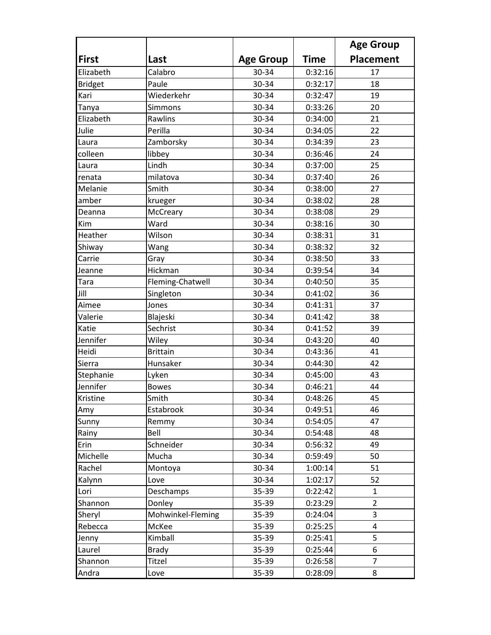|                |                   |                  |             | <b>Age Group</b> |
|----------------|-------------------|------------------|-------------|------------------|
| <b>First</b>   | Last              | <b>Age Group</b> | <b>Time</b> | <b>Placement</b> |
| Elizabeth      | Calabro           | 30-34            | 0:32:16     | 17               |
| <b>Bridget</b> | Paule             | 30-34            | 0:32:17     | 18               |
| Kari           | Wiederkehr        | 30-34            | 0:32:47     | 19               |
| Tanya          | Simmons           | 30-34            | 0:33:26     | 20               |
| Elizabeth      | Rawlins           | 30-34            | 0:34:00     | 21               |
| Julie          | Perilla           | 30-34            | 0:34:05     | 22               |
| Laura          | Zamborsky         | 30-34            | 0:34:39     | 23               |
| colleen        | libbey            | 30-34            | 0:36:46     | 24               |
| Laura          | Lindh             | 30-34            | 0:37:00     | 25               |
| renata         | milatova          | 30-34            | 0:37:40     | 26               |
| Melanie        | Smith             | 30-34            | 0:38:00     | 27               |
| amber          | krueger           | 30-34            | 0:38:02     | 28               |
| Deanna         | McCreary          | 30-34            | 0:38:08     | 29               |
| Kim            | Ward              | 30-34            | 0:38:16     | 30               |
| Heather        | Wilson            | 30-34            | 0:38:31     | 31               |
| Shiway         | Wang              | 30-34            | 0:38:32     | 32               |
| Carrie         | Gray              | 30-34            | 0:38:50     | 33               |
| Jeanne         | Hickman           | 30-34            | 0:39:54     | 34               |
| Tara           | Fleming-Chatwell  | 30-34            | 0:40:50     | 35               |
| Jill           | Singleton         | 30-34            | 0:41:02     | 36               |
| Aimee          | Jones             | 30-34            | 0:41:31     | 37               |
| Valerie        | Blajeski          | 30-34            | 0:41:42     | 38               |
| Katie          | Sechrist          | 30-34            | 0:41:52     | 39               |
| Jennifer       | Wiley             | 30-34            | 0:43:20     | 40               |
| Heidi          | <b>Brittain</b>   | 30-34            | 0:43:36     | 41               |
| Sierra         | Hunsaker          | 30-34            | 0:44:30     | 42               |
| Stephanie      | Lyken             | 30-34            | 0:45:00     | 43               |
| Jennifer       | <b>Bowes</b>      | 30-34            | 0:46:21     | 44               |
| Kristine       | Smith             | 30-34            | 0:48:26     | 45               |
| Amy            | Estabrook         | 30-34            | 0:49:51     | 46               |
| Sunny          | Remmy             | 30-34            | 0:54:05     | 47               |
| Rainy          | Bell              | 30-34            | 0:54:48     | 48               |
| Erin           | Schneider         | 30-34            | 0:56:32     | 49               |
| Michelle       | Mucha             | 30-34            | 0:59:49     | 50               |
| Rachel         | Montoya           | 30-34            | 1:00:14     | 51               |
| Kalynn         | Love              | 30-34            | 1:02:17     | 52               |
| Lori           | Deschamps         | 35-39            | 0:22:42     | $\mathbf{1}$     |
| Shannon        | Donley            | 35-39            | 0:23:29     | $\overline{2}$   |
| Sheryl         | Mohwinkel-Fleming | 35-39            | 0:24:04     | 3                |
| Rebecca        | McKee             | 35-39            | 0:25:25     | 4                |
| Jenny          | Kimball           | 35-39            | 0:25:41     | 5                |
| Laurel         | <b>Brady</b>      | 35-39            | 0:25:44     | 6                |
| Shannon        | Titzel            | 35-39            | 0:26:58     | $\overline{7}$   |
| Andra          | Love              | 35-39            | 0:28:09     | 8                |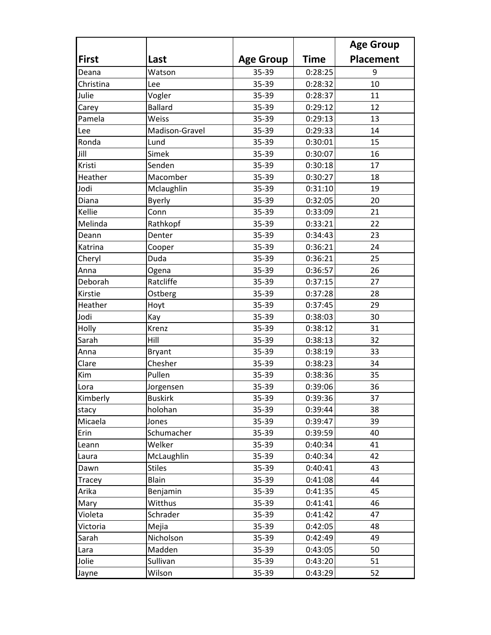|              |                |                  |             | <b>Age Group</b> |
|--------------|----------------|------------------|-------------|------------------|
| <b>First</b> | Last           | <b>Age Group</b> | <b>Time</b> | <b>Placement</b> |
| Deana        | Watson         | 35-39            | 0:28:25     | 9                |
| Christina    | Lee            | 35-39            | 0:28:32     | 10               |
| Julie        | Vogler         | 35-39            | 0:28:37     | 11               |
| Carey        | <b>Ballard</b> | 35-39            | 0:29:12     | 12               |
| Pamela       | Weiss          | 35-39            | 0:29:13     | 13               |
| Lee          | Madison-Gravel | 35-39            | 0:29:33     | 14               |
| Ronda        | Lund           | 35-39            | 0:30:01     | 15               |
| Jill         | Simek          | 35-39            | 0:30:07     | 16               |
| Kristi       | Senden         | 35-39            | 0:30:18     | 17               |
| Heather      | Macomber       | 35-39            | 0:30:27     | 18               |
| Jodi         | Mclaughlin     | 35-39            | 0:31:10     | 19               |
| Diana        | <b>Byerly</b>  | 35-39            | 0:32:05     | 20               |
| Kellie       | Conn           | 35-39            | 0:33:09     | 21               |
| Melinda      | Rathkopf       | 35-39            | 0:33:21     | 22               |
| Deann        | Denter         | 35-39            | 0:34:43     | 23               |
| Katrina      | Cooper         | 35-39            | 0:36:21     | 24               |
| Cheryl       | Duda           | 35-39            | 0:36:21     | 25               |
| Anna         | Ogena          | 35-39            | 0:36:57     | 26               |
| Deborah      | Ratcliffe      | 35-39            | 0:37:15     | 27               |
| Kirstie      | Ostberg        | 35-39            | 0:37:28     | 28               |
| Heather      | Hoyt           | 35-39            | 0:37:45     | 29               |
| Jodi         | Kay            | 35-39            | 0:38:03     | 30               |
| Holly        | Krenz          | 35-39            | 0:38:12     | 31               |
| Sarah        | Hill           | 35-39            | 0:38:13     | 32               |
| Anna         | <b>Bryant</b>  | 35-39            | 0:38:19     | 33               |
| Clare        | Chesher        | 35-39            | 0:38:23     | 34               |
| Kim          | Pullen         | 35-39            | 0:38:36     | 35               |
| Lora         | Jorgensen      | 35-39            | 0:39:06     | 36               |
| Kimberly     | <b>Buskirk</b> | 35-39            | 0:39:36     | 37               |
| stacy        | holohan        | 35-39            | 0:39:44     | 38               |
| Micaela      | Jones          | 35-39            | 0:39:47     | 39               |
| Erin         | Schumacher     | 35-39            | 0:39:59     | 40               |
| Leann        | Welker         | 35-39            | 0:40:34     | 41               |
| Laura        | McLaughlin     | 35-39            | 0:40:34     | 42               |
| Dawn         | <b>Stiles</b>  | 35-39            | 0:40:41     | 43               |
| Tracey       | Blain          | 35-39            | 0:41:08     | 44               |
| Arika        | Benjamin       | 35-39            | 0:41:35     | 45               |
| Mary         | Witthus        | 35-39            | 0:41:41     | 46               |
| Violeta      | Schrader       | 35-39            | 0:41:42     | 47               |
| Victoria     | Mejia          | 35-39            | 0:42:05     | 48               |
| Sarah        | Nicholson      | 35-39            | 0:42:49     | 49               |
| Lara         | Madden         | 35-39            | 0:43:05     | 50               |
| Jolie        | Sullivan       | 35-39            | 0:43:20     | 51               |
| Jayne        | Wilson         | 35-39            | 0:43:29     | 52               |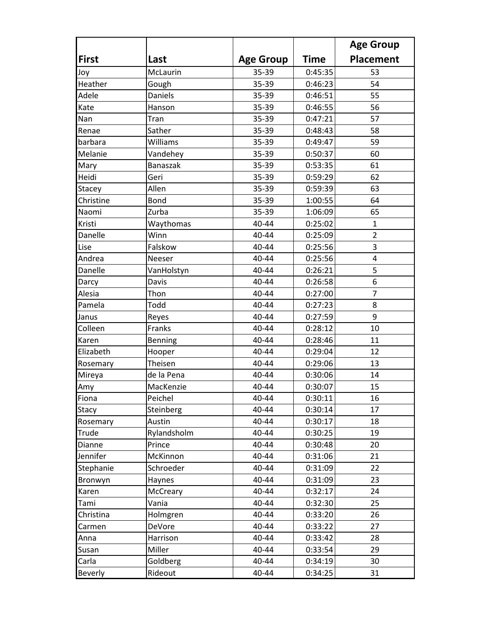|                |                 |                  |             | <b>Age Group</b> |
|----------------|-----------------|------------------|-------------|------------------|
| <b>First</b>   | Last            | <b>Age Group</b> | <b>Time</b> | <b>Placement</b> |
| Joy            | McLaurin        | 35-39            | 0:45:35     | 53               |
| Heather        | Gough           | 35-39            | 0:46:23     | 54               |
| Adele          | Daniels         | 35-39            | 0:46:51     | 55               |
| Kate           | Hanson          | 35-39            | 0:46:55     | 56               |
| Nan            | Tran            | 35-39            | 0:47:21     | 57               |
| Renae          | Sather          | 35-39            | 0:48:43     | 58               |
| barbara        | Williams        | 35-39            | 0:49:47     | 59               |
| Melanie        | Vandehey        | 35-39            | 0:50:37     | 60               |
| Mary           | <b>Banaszak</b> | 35-39            | 0:53:35     | 61               |
| Heidi          | Geri            | 35-39            | 0:59:29     | 62               |
| Stacey         | Allen           | 35-39            | 0:59:39     | 63               |
| Christine      | Bond            | 35-39            | 1:00:55     | 64               |
| Naomi          | Zurba           | 35-39            | 1:06:09     | 65               |
| Kristi         | Waythomas       | 40-44            | 0:25:02     | 1                |
| Danelle        | Winn            | 40-44            | 0:25:09     | $\overline{2}$   |
| Lise           | Falskow         | 40-44            | 0:25:56     | 3                |
| Andrea         | Neeser          | 40-44            | 0:25:56     | 4                |
| Danelle        | VanHolstyn      | 40-44            | 0:26:21     | 5                |
| Darcy          | Davis           | 40-44            | 0:26:58     | 6                |
| Alesia         | Thon            | 40-44            | 0:27:00     | $\overline{7}$   |
| Pamela         | Todd            | 40-44            | 0:27:23     | 8                |
| Janus          | Reyes           | 40-44            | 0:27:59     | 9                |
| Colleen        | Franks          | 40-44            | 0:28:12     | 10               |
| Karen          | Benning         | 40-44            | 0:28:46     | 11               |
| Elizabeth      | Hooper          | 40-44            | 0:29:04     | 12               |
| Rosemary       | Theisen         | 40-44            | 0:29:06     | 13               |
| Mireya         | de la Pena      | 40-44            | 0:30:06     | 14               |
| Amy            | MacKenzie       | 40-44            | 0:30:07     | 15               |
| Fiona          | Peichel         | 40-44            | 0:30:11     | 16               |
| <b>Stacy</b>   | Steinberg       | 40-44            | 0:30:14     | 17               |
| Rosemary       | Austin          | 40-44            | 0:30:17     | 18               |
| Trude          | Rylandsholm     | 40-44            | 0:30:25     | 19               |
| Dianne         | Prince          | 40-44            | 0:30:48     | 20               |
| Jennifer       | McKinnon        | 40-44            | 0:31:06     | 21               |
| Stephanie      | Schroeder       | 40-44            | 0:31:09     | 22               |
| Bronwyn        | Haynes          | 40-44            | 0:31:09     | 23               |
| Karen          | McCreary        | 40-44            | 0:32:17     | 24               |
| Tami           | Vania           | 40-44            | 0:32:30     | 25               |
| Christina      | Holmgren        | 40-44            | 0:33:20     | 26               |
| Carmen         | DeVore          | 40-44            | 0:33:22     | 27               |
| Anna           | Harrison        | 40-44            | 0:33:42     | 28               |
| Susan          | Miller          | 40-44            | 0:33:54     | 29               |
| Carla          | Goldberg        | 40-44            | 0:34:19     | 30               |
| <b>Beverly</b> | Rideout         | 40-44            | 0:34:25     | 31               |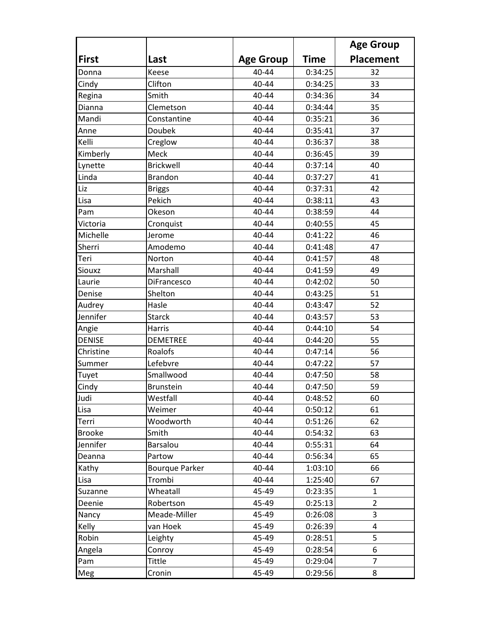|               |                       |                  |             | <b>Age Group</b> |
|---------------|-----------------------|------------------|-------------|------------------|
| <b>First</b>  | Last                  | <b>Age Group</b> | <b>Time</b> | Placement        |
| Donna         | Keese                 | 40-44            | 0:34:25     | 32               |
| Cindy         | Clifton               | 40-44            | 0:34:25     | 33               |
| Regina        | Smith                 | 40-44            | 0:34:36     | 34               |
| Dianna        | Clemetson             | 40-44            | 0:34:44     | 35               |
| Mandi         | Constantine           | 40-44            | 0:35:21     | 36               |
| Anne          | Doubek                | 40-44            | 0:35:41     | 37               |
| Kelli         | Creglow               | 40-44            | 0:36:37     | 38               |
| Kimberly      | Meck                  | 40-44            | 0:36:45     | 39               |
| Lynette       | <b>Brickwell</b>      | 40-44            | 0:37:14     | 40               |
| Linda         | <b>Brandon</b>        | 40-44            | 0:37:27     | 41               |
| Liz           | <b>Briggs</b>         | 40-44            | 0:37:31     | 42               |
| Lisa          | Pekich                | 40-44            | 0:38:11     | 43               |
| Pam           | Okeson                | 40-44            | 0:38:59     | 44               |
| Victoria      | Cronquist             | 40-44            | 0:40:55     | 45               |
| Michelle      | Jerome                | 40-44            | 0:41:22     | 46               |
| Sherri        | Amodemo               | 40-44            | 0:41:48     | 47               |
| Teri          | Norton                | 40-44            | 0:41:57     | 48               |
| Siouxz        | Marshall              | 40-44            | 0:41:59     | 49               |
| Laurie        | DiFrancesco           | 40-44            | 0:42:02     | 50               |
| Denise        | Shelton               | 40-44            | 0:43:25     | 51               |
| Audrey        | Hasle                 | 40-44            | 0:43:47     | 52               |
| Jennifer      | <b>Starck</b>         | 40-44            | 0:43:57     | 53               |
| Angie         | Harris                | 40-44            | 0:44:10     | 54               |
| <b>DENISE</b> | <b>DEMETREE</b>       | 40-44            | 0:44:20     | 55               |
| Christine     | Roalofs               | 40-44            | 0:47:14     | 56               |
| Summer        | Lefebvre              | 40-44            | 0:47:22     | 57               |
| Tuyet         | Smallwood             | 40-44            | 0:47:50     | 58               |
| Cindy         | <b>Brunstein</b>      | 40-44            | 0:47:50     | 59               |
| Judi          | Westfall              | 40-44            | 0:48:52     | 60               |
| Lisa          | Weimer                | 40-44            | 0:50:12     | 61               |
| Terri         | Woodworth             | 40-44            | 0:51:26     | 62               |
| <b>Brooke</b> | Smith                 | 40-44            | 0:54:32     | 63               |
| Jennifer      | Barsalou              | 40-44            | 0:55:31     | 64               |
| Deanna        | Partow                | 40-44            | 0:56:34     | 65               |
| Kathy         | <b>Bourque Parker</b> | 40-44            | 1:03:10     | 66               |
| Lisa          | Trombi                | 40-44            | 1:25:40     | 67               |
| Suzanne       | Wheatall              | 45-49            | 0:23:35     | $\mathbf{1}$     |
| Deenie        | Robertson             | 45-49            | 0:25:13     | $\overline{2}$   |
| Nancy         | Meade-Miller          | 45-49            | 0:26:08     | 3                |
| Kelly         | van Hoek              | 45-49            | 0:26:39     | 4                |
| Robin         | Leighty               | 45-49            | 0:28:51     | 5                |
| Angela        | Conroy                | 45-49            | 0:28:54     | 6                |
| Pam           | Tittle                | 45-49            | 0:29:04     | 7                |
| Meg           | Cronin                | 45-49            | 0:29:56     | 8                |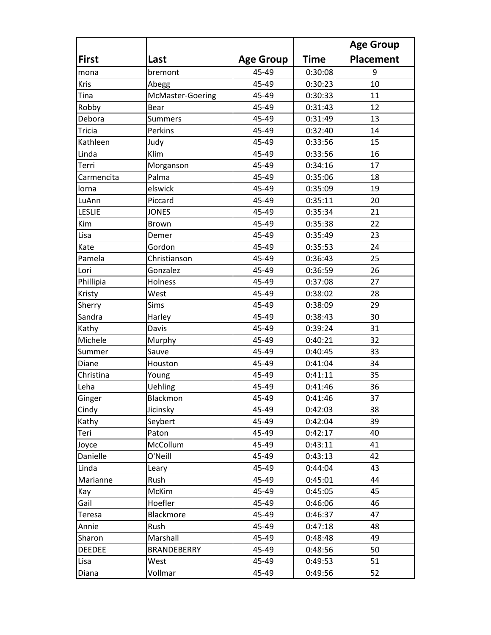|               |                    |                  |             | <b>Age Group</b> |
|---------------|--------------------|------------------|-------------|------------------|
| <b>First</b>  | Last               | <b>Age Group</b> | <b>Time</b> | <b>Placement</b> |
| mona          | bremont            | 45-49            | 0:30:08     | 9                |
| Kris          | Abegg              | 45-49            | 0:30:23     | 10               |
| Tina          | McMaster-Goering   | 45-49            | 0:30:33     | 11               |
| Robby         | Bear               | 45-49            | 0:31:43     | 12               |
| Debora        | <b>Summers</b>     | 45-49            | 0:31:49     | 13               |
| <b>Tricia</b> | Perkins            | 45-49            | 0:32:40     | 14               |
| Kathleen      | Judy               | 45-49            | 0:33:56     | 15               |
| Linda         | Klim               | 45-49            | 0:33:56     | 16               |
| Terri         | Morganson          | 45-49            | 0:34:16     | 17               |
| Carmencita    | Palma              | 45-49            | 0:35:06     | 18               |
| Iorna         | elswick            | 45-49            | 0:35:09     | 19               |
| LuAnn         | Piccard            | 45-49            | 0:35:11     | 20               |
| <b>LESLIE</b> | <b>JONES</b>       | 45-49            | 0:35:34     | 21               |
| Kim           | Brown              | 45-49            | 0:35:38     | 22               |
| Lisa          | Demer              | 45-49            | 0:35:49     | 23               |
| Kate          | Gordon             | 45-49            | 0:35:53     | 24               |
| Pamela        | Christianson       | 45-49            | 0:36:43     | 25               |
| Lori          | Gonzalez           | 45-49            | 0:36:59     | 26               |
| Phillipia     | Holness            | 45-49            | 0:37:08     | 27               |
| Kristy        | West               | 45-49            | 0:38:02     | 28               |
| Sherry        | Sims               | 45-49            | 0:38:09     | 29               |
| Sandra        | Harley             | 45-49            | 0:38:43     | 30               |
| Kathy         | Davis              | 45-49            | 0:39:24     | 31               |
| Michele       | Murphy             | 45-49            | 0:40:21     | 32               |
| Summer        | Sauve              | 45-49            | 0:40:45     | 33               |
| Diane         | Houston            | 45-49            | 0:41:04     | 34               |
| Christina     | Young              | 45-49            | 0:41:11     | 35               |
| Leha          | Uehling            | 45-49            | 0:41:46     | 36               |
| Ginger        | Blackmon           | 45-49            | 0:41:46     | 37               |
| Cindy         | Jicinsky           | 45-49            | 0:42:03     | 38               |
| Kathy         | Seybert            | 45-49            | 0:42:04     | 39               |
| Teri          | Paton              | 45-49            | 0:42:17     | 40               |
| Joyce         | McCollum           | 45-49            | 0:43:11     | 41               |
| Danielle      | O'Neill            | 45-49            | 0:43:13     | 42               |
| Linda         | Leary              | 45-49            | 0:44:04     | 43               |
| Marianne      | Rush               | 45-49            | 0:45:01     | 44               |
| Kay           | McKim              | 45-49            | 0:45:05     | 45               |
| Gail          | Hoefler            | 45-49            | 0:46:06     | 46               |
| Teresa        | Blackmore          | 45-49            | 0:46:37     | 47               |
| Annie         | Rush               | 45-49            | 0:47:18     | 48               |
| Sharon        | Marshall           | 45-49            | 0:48:48     | 49               |
| <b>DEEDEE</b> | <b>BRANDEBERRY</b> | 45-49            | 0:48:56     | 50               |
| Lisa          | West               | 45-49            | 0:49:53     | 51               |
| Diana         | Vollmar            | 45-49            | 0:49:56     | 52               |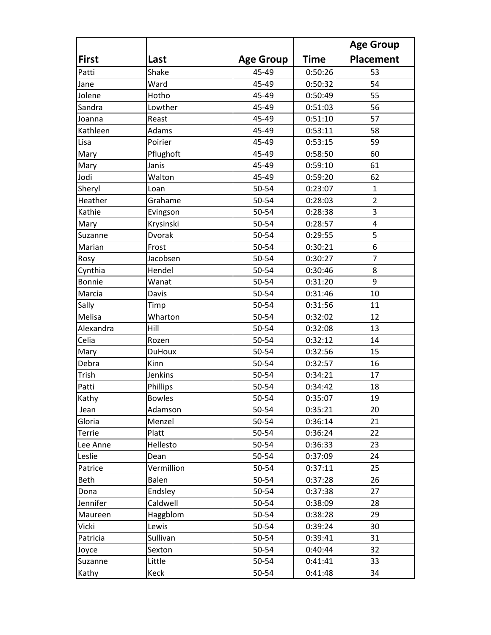|               |               |                  |             | <b>Age Group</b>        |
|---------------|---------------|------------------|-------------|-------------------------|
| <b>First</b>  | Last          | <b>Age Group</b> | <b>Time</b> | <b>Placement</b>        |
| Patti         | Shake         | 45-49            | 0:50:26     | 53                      |
| Jane          | Ward          | 45-49            | 0:50:32     | 54                      |
| Jolene        | Hotho         | 45-49            | 0:50:49     | 55                      |
| Sandra        | Lowther       | 45-49            | 0:51:03     | 56                      |
| Joanna        | Reast         | 45-49            | 0:51:10     | 57                      |
| Kathleen      | Adams         | 45-49            | 0:53:11     | 58                      |
| Lisa          | Poirier       | 45-49            | 0:53:15     | 59                      |
| Mary          | Pflughoft     | 45-49            | 0:58:50     | 60                      |
| Mary          | Janis         | 45-49            | 0:59:10     | 61                      |
| Jodi          | Walton        | 45-49            | 0:59:20     | 62                      |
| Sheryl        | Loan          | 50-54            | 0:23:07     | $\mathbf{1}$            |
| Heather       | Grahame       | 50-54            | 0:28:03     | $\overline{2}$          |
| Kathie        | Evingson      | 50-54            | 0:28:38     | 3                       |
| Mary          | Krysinski     | 50-54            | 0:28:57     | $\overline{\mathbf{4}}$ |
| Suzanne       | <b>Dvorak</b> | 50-54            | 0:29:55     | 5                       |
| Marian        | Frost         | 50-54            | 0:30:21     | 6                       |
| Rosy          | Jacobsen      | 50-54            | 0:30:27     | $\overline{7}$          |
| Cynthia       | Hendel        | 50-54            | 0:30:46     | 8                       |
| <b>Bonnie</b> | Wanat         | 50-54            | 0:31:20     | 9                       |
| Marcia        | Davis         | 50-54            | 0:31:46     | 10                      |
| Sally         | Timp          | 50-54            | 0:31:56     | 11                      |
| Melisa        | Wharton       | 50-54            | 0:32:02     | 12                      |
| Alexandra     | Hill          | 50-54            | 0:32:08     | 13                      |
| Celia         | Rozen         | 50-54            | 0:32:12     | 14                      |
| Mary          | <b>DuHoux</b> | 50-54            | 0:32:56     | 15                      |
| Debra         | Kinn          | 50-54            | 0:32:57     | 16                      |
| Trish         | Jenkins       | 50-54            | 0:34:21     | 17                      |
| Patti         | Phillips      | 50-54            | 0:34:42     | 18                      |
| Kathy         | <b>Bowles</b> | 50-54            | 0:35:07     | 19                      |
| Jean          | Adamson       | 50-54            | 0:35:21     | 20                      |
| Gloria        | Menzel        | 50-54            | 0:36:14     | 21                      |
| Terrie        | Platt         | 50-54            | 0:36:24     | 22                      |
| Lee Anne      | Hellesto      | 50-54            | 0:36:33     | 23                      |
| Leslie        | Dean          | 50-54            | 0:37:09     | 24                      |
| Patrice       | Vermillion    | 50-54            | 0:37:11     | 25                      |
| Beth          | Balen         | 50-54            | 0:37:28     | 26                      |
| Dona          | Endsley       | 50-54            | 0:37:38     | 27                      |
| Jennifer      | Caldwell      | 50-54            | 0:38:09     | 28                      |
| Maureen       | Haggblom      | 50-54            | 0:38:28     | 29                      |
| Vicki         | Lewis         | 50-54            | 0:39:24     | 30                      |
| Patricia      | Sullivan      | 50-54            | 0:39:41     | 31                      |
| Joyce         | Sexton        | 50-54            | 0:40:44     | 32                      |
| Suzanne       | Little        | 50-54            | 0:41:41     | 33                      |
| Kathy         | Keck          | 50-54            | 0:41:48     | 34                      |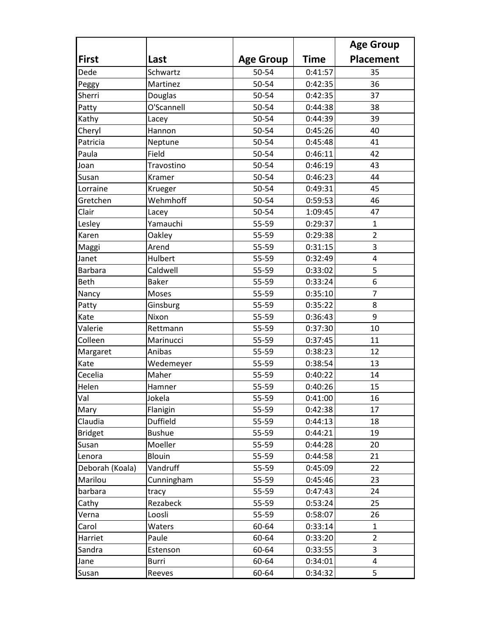|                 |               |                  |             | <b>Age Group</b> |
|-----------------|---------------|------------------|-------------|------------------|
| <b>First</b>    | Last          | <b>Age Group</b> | <b>Time</b> | <b>Placement</b> |
| Dede            | Schwartz      | 50-54            | 0:41:57     | 35               |
| Peggy           | Martinez      | 50-54            | 0:42:35     | 36               |
| Sherri          | Douglas       | 50-54            | 0:42:35     | 37               |
| Patty           | O'Scannell    | 50-54            | 0:44:38     | 38               |
| Kathy           | Lacey         | 50-54            | 0:44:39     | 39               |
| Cheryl          | Hannon        | 50-54            | 0:45:26     | 40               |
| Patricia        | Neptune       | 50-54            | 0:45:48     | 41               |
| Paula           | Field         | 50-54            | 0:46:11     | 42               |
| Joan            | Travostino    | 50-54            | 0:46:19     | 43               |
| Susan           | Kramer        | 50-54            | 0:46:23     | 44               |
| Lorraine        | Krueger       | 50-54            | 0:49:31     | 45               |
| Gretchen        | Wehmhoff      | 50-54            | 0:59:53     | 46               |
| Clair           | Lacey         | 50-54            | 1:09:45     | 47               |
| Lesley          | Yamauchi      | 55-59            | 0:29:37     | $\mathbf{1}$     |
| Karen           | Oakley        | 55-59            | 0:29:38     | $\overline{2}$   |
| Maggi           | Arend         | 55-59            | 0:31:15     | 3                |
| Janet           | Hulbert       | 55-59            | 0:32:49     | 4                |
| <b>Barbara</b>  | Caldwell      | 55-59            | 0:33:02     | 5                |
| <b>Beth</b>     | <b>Baker</b>  | 55-59            | 0:33:24     | 6                |
| Nancy           | Moses         | 55-59            | 0:35:10     | $\overline{7}$   |
| Patty           | Ginsburg      | 55-59            | 0:35:22     | 8                |
| Kate            | Nixon         | 55-59            | 0:36:43     | 9                |
| Valerie         | Rettmann      | 55-59            | 0:37:30     | 10               |
| Colleen         | Marinucci     | 55-59            | 0:37:45     | 11               |
| Margaret        | Anibas        | 55-59            | 0:38:23     | 12               |
| Kate            | Wedemeyer     | 55-59            | 0:38:54     | 13               |
| Cecelia         | Maher         | 55-59            | 0:40:22     | 14               |
| Helen           | Hamner        | 55-59            | 0:40:26     | 15               |
| Val             | Jokela        | 55-59            | 0:41:00     | 16               |
| Mary            | Flanigin      | 55-59            | 0:42:38     | 17               |
| Claudia         | Duffield      | 55-59            | 0:44:13     | 18               |
| <b>Bridget</b>  | <b>Bushue</b> | 55-59            | 0:44:21     | 19               |
| Susan           | Moeller       | 55-59            | 0:44:28     | 20               |
| Lenora          | Blouin        | 55-59            | 0:44:58     | 21               |
| Deborah (Koala) | Vandruff      | 55-59            | 0:45:09     | 22               |
| Marilou         | Cunningham    | 55-59            | 0:45:46     | 23               |
| barbara         | tracy         | 55-59            | 0:47:43     | 24               |
| Cathy           | Rezabeck      | 55-59            | 0:53:24     | 25               |
| Verna           | Loosli        | 55-59            | 0:58:07     | 26               |
| Carol           | Waters        | 60-64            | 0:33:14     | $\mathbf{1}$     |
| Harriet         | Paule         | 60-64            | 0:33:20     | $\overline{2}$   |
| Sandra          | Estenson      | 60-64            | 0:33:55     | 3                |
| Jane            | Burri         | 60-64            | 0:34:01     | 4                |
| Susan           | Reeves        | 60-64            | 0:34:32     | 5                |